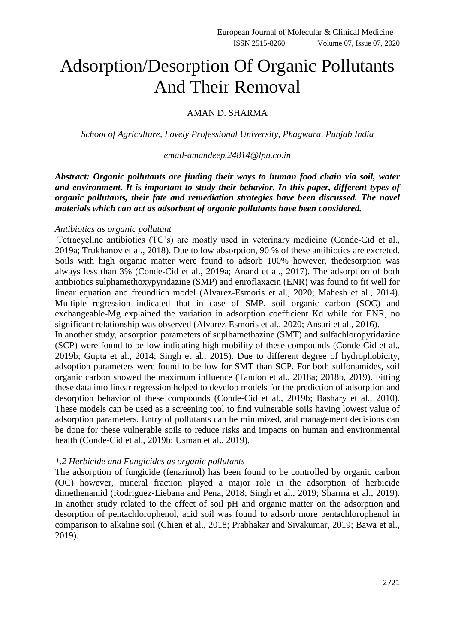# Adsorption/Desorption Of Organic Pollutants And Their Removal

## AMAN D. SHARMA

*School of Agriculture, Lovely Professional University, Phagwara, Punjab India*

## *[email-amandeep.24814@lpu.co.in](mailto:email-amandeep.24814@lpu.co.in)*

*Abstract: Organic pollutants are finding their ways to human food chain via soil, water and environment. It is important to study their behavior. In this paper, different types of organic pollutants, their fate and remediation strategies have been discussed. The novel materials which can act as adsorbent of organic pollutants have been considered.*

#### *Antibiotics as organic pollutant*

Tetracycline antibiotics (TC's) are mostly used in veterinary medicine (Conde-Cid et al., 2019a; Trukhanov et al., 2018). Due to low absorption, 90 % of these antibiotics are excreted. Soils with high organic matter were found to adsorb 100% however, thedesorption was always less than 3% (Conde-Cid et al., 2019a; Anand et al., 2017). The adsorption of both antibiotics sulphamethoxypyridazine (SMP) and enroflaxacin (ENR) was found to fit well for linear equation and freundlich model (Alvarez-Esmoris et al., 2020; Mahesh et al., 2014). Multiple regression indicated that in case of SMP, soil organic carbon (SOC) and exchangeable-Mg explained the variation in adsorption coefficient Kd while for ENR, no significant relationship was observed (Alvarez-Esmoris et al., 2020; Ansari et al., 2016).

In another study, adsorption parameters of suplhamethazine (SMT) and sulfachloropyridazine (SCP) were found to be low indicating high mobility of these compounds (Conde-Cid et al., 2019b; Gupta et al., 2014; Singh et al., 2015). Due to different degree of hydrophobicity, adsoption parameters were found to be low for SMT than SCP. For both sulfonamides, soil organic carbon showed the maximum influence (Tandon et al., 2018a; 2018b, 2019). Fitting these data into linear regression helped to develop models for the prediction of adsorption and desorption behavior of these compounds (Conde-Cid et al., 2019b; Bashary et al., 2010). These models can be used as a screening tool to find vulnerable soils having lowest value of adsorption parameters. Entry of pollutants can be minimized, and management decisions can be done for these vulnerable soils to reduce risks and impacts on human and environmental health (Conde-Cid et al., 2019b; Usman et al., 2019).

### *1.2 Herbicide and Fungicides as organic pollutants*

The adsorption of fungicide (fenarimol) has been found to be controlled by organic carbon (OC) however, mineral fraction played a major role in the adsorption of herbicide dimethenamid (Rodriguez-Liebana and Pena, 2018; Singh et al., 2019; Sharma et al., 2019). In another study related to the effect of soil pH and organic matter on the adsorption and desorption of pentachlorophenol, acid soil was found to adsorb more pentachlorophenol in comparison to alkaline soil (Chien et al., 2018; Prabhakar and Sivakumar, 2019; Bawa et al., 2019).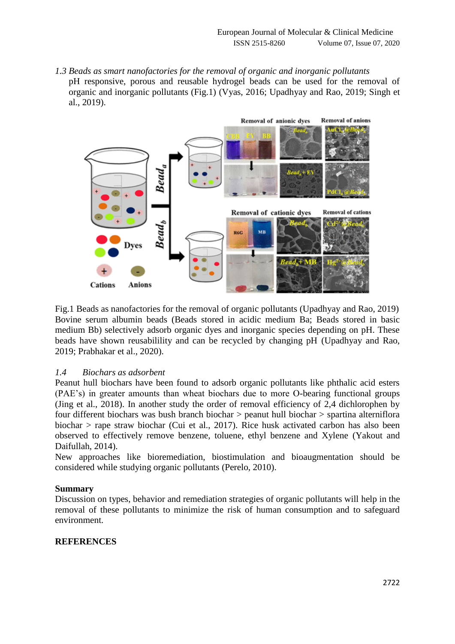*1.3 Beads as smart nanofactories for the removal of organic and inorganic pollutants* pH responsive, porous and reusable hydrogel beads can be used for the removal of organic and inorganic pollutants (Fig.1) (Vyas, 2016; Upadhyay and Rao, 2019; Singh et al., 2019).



Fig.1 Beads as nanofactories for the removal of organic pollutants (Upadhyay and Rao, 2019) Bovine serum albumin beads (Beads stored in acidic medium Ba; Beads stored in basic medium Bb) selectively adsorb organic dyes and inorganic species depending on pH. These beads have shown reusabilility and can be recycled by changing pH (Upadhyay and Rao, 2019; Prabhakar et al., 2020).

## *1.4 Biochars as adsorbent*

Peanut hull biochars have been found to adsorb organic pollutants like phthalic acid esters (PAE's) in greater amounts than wheat biochars due to more O-bearing functional groups (Jing et al., 2018). In another study the order of removal efficiency of 2,4 dichlorophen by four different biochars was bush branch biochar > peanut hull biochar > spartina alterniflora biochar > rape straw biochar (Cui et al., 2017). Rice husk activated carbon has also been observed to effectively remove benzene, toluene, ethyl benzene and Xylene (Yakout and Daifullah, 2014).

New approaches like bioremediation, biostimulation and bioaugmentation should be considered while studying organic pollutants (Perelo, 2010).

### **Summary**

Discussion on types, behavior and remediation strategies of organic pollutants will help in the removal of these pollutants to minimize the risk of human consumption and to safeguard environment.

## **REFERENCES**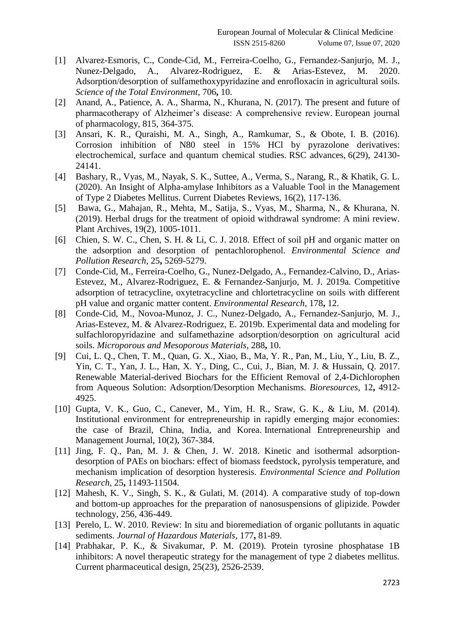- [1] Alvarez-Esmoris, C., Conde-Cid, M., Ferreira-Coelho, G., Fernandez-Sanjurjo, M. J., Nunez-Delgado, A., Alvarez-Rodriguez, E. & Arias-Estevez, M. 2020. Adsorption/desorption of sulfamethoxypyridazine and enrofloxacin in agricultural soils. *Science of the Total Environment,* 706**,** 10.
- [2] Anand, A., Patience, A. A., Sharma, N., Khurana, N. (2017). The present and future of pharmacotherapy of Alzheimer's disease: A comprehensive review. European journal of pharmacology, 815, 364-375.
- [3] Ansari, K. R., Quraishi, M. A., Singh, A., Ramkumar, S., & Obote, I. B. (2016). Corrosion inhibition of N80 steel in 15% HCl by pyrazolone derivatives: electrochemical, surface and quantum chemical studies. RSC advances, 6(29), 24130- 24141.
- [4] Bashary, R., Vyas, M., Nayak, S. K., Suttee, A., Verma, S., Narang, R., & Khatik, G. L. (2020). An Insight of Alpha-amylase Inhibitors as a Valuable Tool in the Management of Type 2 Diabetes Mellitus. Current Diabetes Reviews, 16(2), 117-136.
- [5] Bawa, G., Mahajan, R., Mehta, M., Satija, S., Vyas, M., Sharma, N., & Khurana, N. (2019). Herbal drugs for the treatment of opioid withdrawal syndrome: A mini review. Plant Archives, 19(2), 1005-1011.
- [6] Chien, S. W. C., Chen, S. H. & Li, C. J. 2018. Effect of soil pH and organic matter on the adsorption and desorption of pentachlorophenol. *Environmental Science and Pollution Research,* 25**,** 5269-5279.
- [7] Conde-Cid, M., Ferreira-Coelho, G., Nunez-Delgado, A., Fernandez-Calvino, D., Arias-Estevez, M., Alvarez-Rodriguez, E. & Fernandez-Sanjurjo, M. J. 2019a. Competitive adsorption of tetracycline, oxytetracycline and chlortetracycline on soils with different pH value and organic matter content. *Environmental Research,* 178**,** 12.
- [8] Conde-Cid, M., Novoa-Munoz, J. C., Nunez-Delgado, A., Fernandez-Sanjurjo, M. J., Arias-Estevez, M. & Alvarez-Rodriguez, E. 2019b. Experimental data and modeling for sulfachloropyridazine and sulfamethazine adsorption/desorption on agricultural acid soils. *Microporous and Mesoporous Materials,* 288**,** 10.
- [9] Cui, L. Q., Chen, T. M., Quan, G. X., Xiao, B., Ma, Y. R., Pan, M., Liu, Y., Liu, B. Z., Yin, C. T., Yan, J. L., Han, X. Y., Ding, C., Cui, J., Bian, M. J. & Hussain, Q. 2017. Renewable Material-derived Biochars for the Efficient Removal of 2,4-Dichlorophen from Aqueous Solution: Adsorption/Desorption Mechanisms. *Bioresources,* 12**,** 4912- 4925.
- [10] Gupta, V. K., Guo, C., Canever, M., Yim, H. R., Sraw, G. K., & Liu, M. (2014). Institutional environment for entrepreneurship in rapidly emerging major economies: the case of Brazil, China, India, and Korea. International Entrepreneurship and Management Journal, 10(2), 367-384.
- [11] Jing, F. Q., Pan, M. J. & Chen, J. W. 2018. Kinetic and isothermal adsorptiondesorption of PAEs on biochars: effect of biomass feedstock, pyrolysis temperature, and mechanism implication of desorption hysteresis. *Environmental Science and Pollution Research,* 25**,** 11493-11504.
- [12] Mahesh, K. V., Singh, S. K., & Gulati, M. (2014). A comparative study of top-down and bottom-up approaches for the preparation of nanosuspensions of glipizide. Powder technology, 256, 436-449.
- [13] Perelo, L. W. 2010. Review: In situ and bioremediation of organic pollutants in aquatic sediments. *Journal of Hazardous Materials,* 177**,** 81-89.
- [14] Prabhakar, P. K., & Sivakumar, P. M. (2019). Protein tyrosine phosphatase 1B inhibitors: A novel therapeutic strategy for the management of type 2 diabetes mellitus. Current pharmaceutical design, 25(23), 2526-2539.